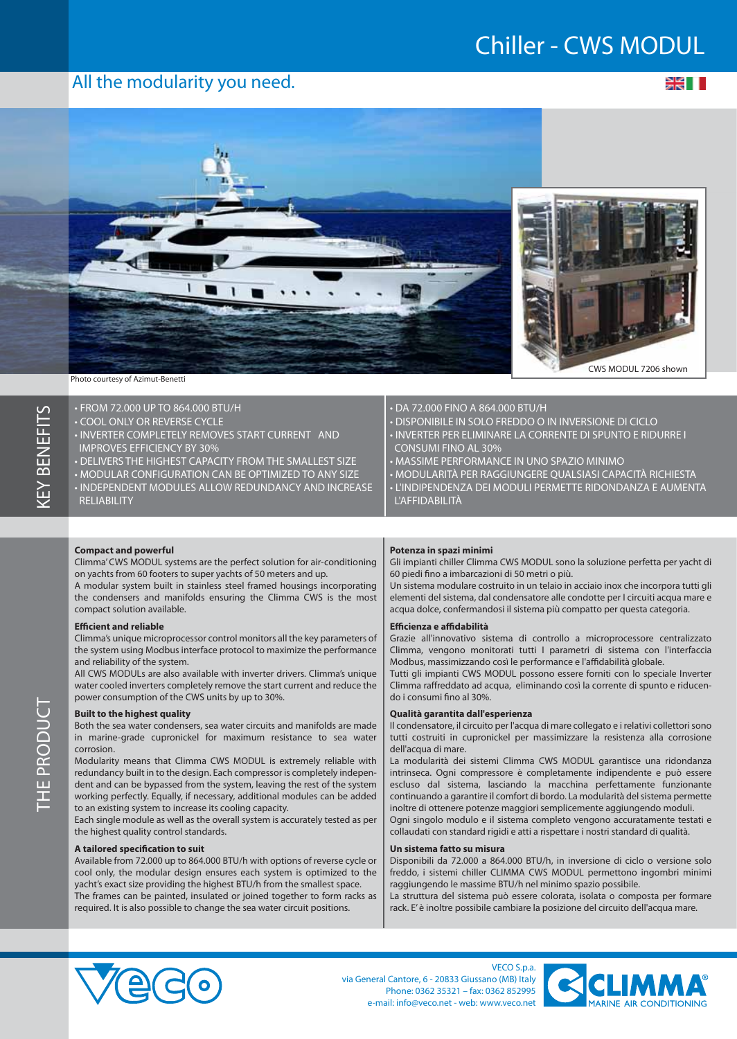## **Chiller - CWS MODUL**

### **All the modularity you need.**

≫⊯ ∎



HF PRODUC

• FROM 72.000 UP TO 864.000 BTU/H

- COOL ONLY OR REVERSE CYCLE
- INVERTER COMPLETELY REMOVES START CURRENT AND IMPROVES EFFICIENCY BY 30%
- DELIVERS THE HIGHEST CAPACITY FROM THE SMALLEST SIZE
- MODULAR CONFIGURATION CAN BE OPTIMIZED TO ANY SIZE
- INDEPENDENT MODULES ALLOW REDUNDANCY AND INCREASE **RELIABILITY**

#### • DA 72.000 FINO A 864.000 BTU/H

- DISPONIBILE IN SOLO FREDDO O IN INVERSIONE DI CICLO • INVERTER PER ELIMINARE LA CORRENTE DI SPUNTO E RIDURRE I CONSUMI FINO AL 30%
- MASSIME PERFORMANCE IN UNO SPAZIO MINIMO
- MODULARITÀ PER RAGGIUNGERE QUALSIASI CAPACITÀ RICHIESTA
- L'INDIPENDENZA DEI MODULI PERMETTE RIDONDANZA E AUMENTA L'AFFIDABILITÀ

#### **Compact and powerful**

Climma' CWS MODUL systems are the perfect solution for air-conditioning on yachts from 60 footers to super yachts of 50 meters and up.

A modular system built in stainless steel framed housings incorporating the condensers and manifolds ensuring the Climma CWS is the most compact solution available.

#### **Efficient and reliable**

Climma's unique microprocessor control monitors all the key parameters of the system using Modbus interface protocol to maximize the performance and reliability of the system.

All CWS MODULs are also available with inverter drivers. Climma's unique water cooled inverters completely remove the start current and reduce the power consumption of the CWS units by up to 30%.

#### **Built to the highest quality**

Both the sea water condensers, sea water circuits and manifolds are made in marine-grade cupronickel for maximum resistance to sea water corrosion.

Modularity means that Climma CWS MODUL is extremely reliable with redundancy built in to the design. Each compressor is completely independent and can be bypassed from the system, leaving the rest of the system working perfectly. Equally, if necessary, additional modules can be added to an existing system to increase its cooling capacity.

Each single module as well as the overall system is accurately tested as per the highest quality control standards.

#### **A tailored specification to suit**

Available from 72.000 up to 864.000 BTU/h with options of reverse cycle or cool only, the modular design ensures each system is optimized to the yacht's exact size providing the highest BTU/h from the smallest space. The frames can be painted, insulated or joined together to form racks as required. It is also possible to change the sea water circuit positions.

#### **Potenza in spazi minimi**

Gli impianti chiller Climma CWS MODUL sono la soluzione perfetta per yacht di 60 piedi no a imbarcazioni di 50 metri o più.

Un sistema modulare costruito in un telaio in acciaio inox che incorpora tutti gli elementi del sistema, dal condensatore alle condotte per I circuiti acqua mare e acqua dolce, confermandosi il sistema più compatto per questa categoria.

#### **Efficienza e affidabilità**

Grazie all'innovativo sistema di controllo a microprocessore centralizzato Climma, vengono monitorati tutti I parametri di sistema con l'interfaccia Modbus, massimizzando così le performance e l'affidabilità globale.

Tutti gli impianti CWS MODUL possono essere forniti con lo speciale Inverter Climma raffreddato ad acqua, eliminando così la corrente di spunto e riducendo i consumi fino al 30%.

#### **Qualità garantita dall'esperienza**

Il condensatore, il circuito per l'acqua di mare collegato e i relativi collettori sono tutti costruiti in cupronickel per massimizzare la resistenza alla corrosione dell'acqua di mare.

La modularità dei sistemi Climma CWS MODUL garantisce una ridondanza intrinseca. Ogni compressore è completamente indipendente e può essere escluso dal sistema, lasciando la macchina perfettamente funzionante continuando a garantire il comfort di bordo. La modularità del sistema permette inoltre di ottenere potenze maggiori semplicemente aggiungendo moduli. Ogni singolo modulo e il sistema completo vengono accuratamente testati e

collaudati con standard rigidi e atti a rispettare i nostri standard di qualità.

#### **Un sistema fatto su misura**

Disponibili da 72.000 a 864.000 BTU/h, in inversione di ciclo o versione solo freddo, i sistemi chiller CLIMMA CWS MODUL permettono ingombri minimi raggiungendo le massime BTU/h nel minimo spazio possibile.

La struttura del sistema può essere colorata, isolata o composta per formare rack. E' è inoltre possibile cambiare la posizione del circuito dell'acqua mare.



**VECO S.p.a. via General Cantore, 6 - 20833 Giussano (MB) Italy Phone: 0362 35321 – fax: 0362 852995 e-mail: info@veco.net - web: www.veco.net**